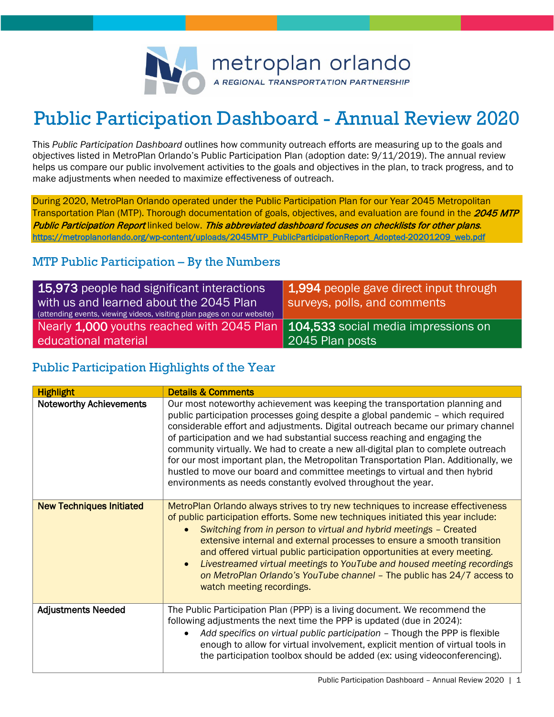

# Public Participation Dashboard - Annual Review 2020

This *Public Participation Dashboard* outlines how community outreach efforts are measuring up to the goals and objectives listed in MetroPlan Orlando's Public Participation Plan (adoption date: 9/11/2019). The annual review helps us compare our public involvement activities to the goals and objectives in the plan, to track progress, and to make adjustments when needed to maximize effectiveness of outreach.

During 2020, MetroPlan Orlando operated under the Public Participation Plan for our Year 2045 Metropolitan Transportation Plan (MTP). Thorough documentation of goals, objectives, and evaluation are found in the 2045 MTP Public Participation Report linked below. This abbreviated dashboard focuses on checklists for other plans. [https://metroplanorlando.org/wp-content/uploads/2045MTP\\_PublicParticipationReport\\_Adopted-20201209\\_web.pdf](https://metroplanorlando.org/wp-content/uploads/2045MTP_PublicParticipationReport_Adopted-20201209_web.pdf) 

# MTP Public Participation – By the Numbers

| 15,973 people had significant interactions<br>with us and learned about the 2045 Plan<br>(attending events, viewing videos, visiting plan pages on our website) | 1,994 people gave direct input through<br>surveys, polls, and comments |
|-----------------------------------------------------------------------------------------------------------------------------------------------------------------|------------------------------------------------------------------------|
| Nearly 1,000 youths reached with 2045 Plan   104,533 social media impressions on<br>educational material                                                        | 2045 Plan posts                                                        |

# Public Participation Highlights of the Year

| <b>Highlight</b>                | <b>Details &amp; Comments</b>                                                                                                                                                                                                                                                                                                                                                                                                                                                                                                                                                                                                                               |
|---------------------------------|-------------------------------------------------------------------------------------------------------------------------------------------------------------------------------------------------------------------------------------------------------------------------------------------------------------------------------------------------------------------------------------------------------------------------------------------------------------------------------------------------------------------------------------------------------------------------------------------------------------------------------------------------------------|
| <b>Noteworthy Achievements</b>  | Our most noteworthy achievement was keeping the transportation planning and<br>public participation processes going despite a global pandemic - which required<br>considerable effort and adjustments. Digital outreach became our primary channel<br>of participation and we had substantial success reaching and engaging the<br>community virtually. We had to create a new all-digital plan to complete outreach<br>for our most important plan, the Metropolitan Transportation Plan. Additionally, we<br>hustled to move our board and committee meetings to virtual and then hybrid<br>environments as needs constantly evolved throughout the year. |
| <b>New Techniques Initiated</b> | MetroPlan Orlando always strives to try new techniques to increase effectiveness<br>of public participation efforts. Some new techniques initiated this year include:<br>Switching from in person to virtual and hybrid meetings - Created<br>$\bullet$<br>extensive internal and external processes to ensure a smooth transition<br>and offered virtual public participation opportunities at every meeting.<br>Livestreamed virtual meetings to YouTube and housed meeting recordings<br>$\bullet$<br>on MetroPlan Orlando's YouTube channel - The public has 24/7 access to<br>watch meeting recordings.                                                |
| <b>Adjustments Needed</b>       | The Public Participation Plan (PPP) is a living document. We recommend the<br>following adjustments the next time the PPP is updated (due in 2024):<br>Add specifics on virtual public participation - Though the PPP is flexible<br>$\bullet$<br>enough to allow for virtual involvement, explicit mention of virtual tools in<br>the participation toolbox should be added (ex: using videoconferencing).                                                                                                                                                                                                                                                 |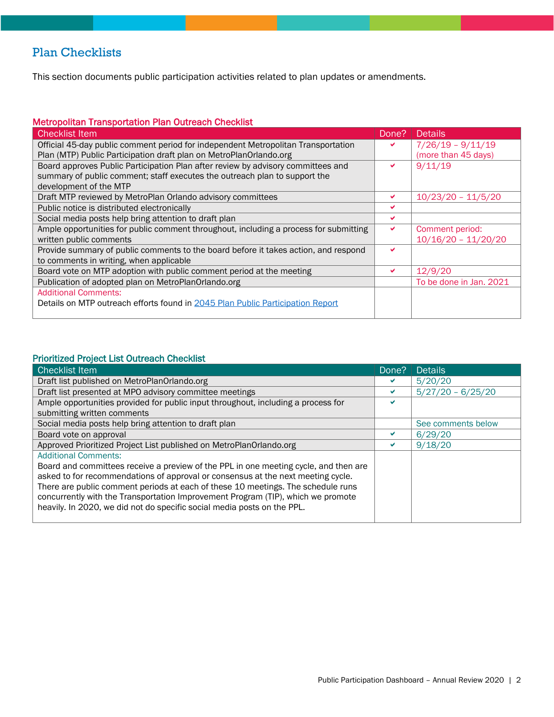# Plan Checklists

This section documents public participation activities related to plan updates or amendments.

## Metropolitan Transportation Plan Outreach Checklist

| <b>Checklist Item</b>                                                                 | Done? | Details                 |
|---------------------------------------------------------------------------------------|-------|-------------------------|
| Official 45-day public comment period for independent Metropolitan Transportation     |       | $7/26/19 - 9/11/19$     |
| Plan (MTP) Public Participation draft plan on MetroPlanOrlando.org                    |       | (more than 45 days)     |
| Board approves Public Participation Plan after review by advisory committees and      |       | 9/11/19                 |
| summary of public comment; staff executes the outreach plan to support the            |       |                         |
| development of the MTP                                                                |       |                         |
| Draft MTP reviewed by MetroPlan Orlando advisory committees                           | ✔     | $10/23/20 - 11/5/20$    |
| Public notice is distributed electronically                                           | ✔     |                         |
| Social media posts help bring attention to draft plan                                 |       |                         |
| Ample opportunities for public comment throughout, including a process for submitting |       | Comment period:         |
| written public comments                                                               |       | $10/16/20 - 11/20/20$   |
| Provide summary of public comments to the board before it takes action, and respond   |       |                         |
| to comments in writing, when applicable                                               |       |                         |
| Board vote on MTP adoption with public comment period at the meeting                  |       | 12/9/20                 |
| Publication of adopted plan on MetroPlanOrlando.org                                   |       | To be done in Jan. 2021 |
| <b>Additional Comments:</b>                                                           |       |                         |
| Details on MTP outreach efforts found in 2045 Plan Public Participation Report        |       |                         |
|                                                                                       |       |                         |

#### Prioritized Project List Outreach Checklist

| <b>Checklist Item</b>                                                                | Done? | <b>Details</b>      |
|--------------------------------------------------------------------------------------|-------|---------------------|
| Draft list published on MetroPlanOrlando.org                                         | ✔     | 5/20/20             |
| Draft list presented at MPO advisory committee meetings                              |       | $5/27/20 - 6/25/20$ |
| Ample opportunities provided for public input throughout, including a process for    | ✔     |                     |
| submitting written comments                                                          |       |                     |
| Social media posts help bring attention to draft plan                                |       | See comments below  |
| Board vote on approval                                                               |       | 6/29/20             |
| Approved Prioritized Project List published on MetroPlanOrlando.org                  |       | 9/18/20             |
| <b>Additional Comments:</b>                                                          |       |                     |
| Board and committees receive a preview of the PPL in one meeting cycle, and then are |       |                     |
| asked to for recommendations of approval or consensus at the next meeting cycle.     |       |                     |
| There are public comment periods at each of these 10 meetings. The schedule runs     |       |                     |
| concurrently with the Transportation Improvement Program (TIP), which we promote     |       |                     |
| heavily. In 2020, we did not do specific social media posts on the PPL.              |       |                     |
|                                                                                      |       |                     |